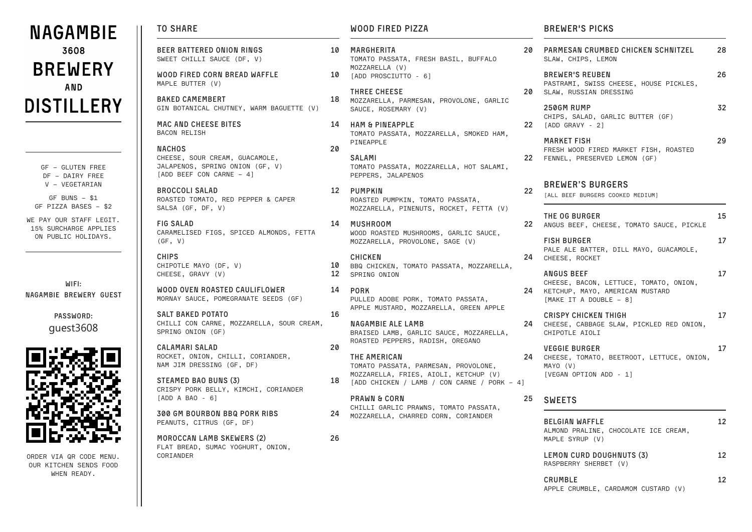# **NAGAMBIE** 3608 **BREWERY** AND **DISTILLERY**

GF – GLUTEN FREE DF – DAIRY FREE V – VEGETARIAN

GF BUNS – \$1 GF PIZZA BASES – \$2

WE PAY OUR STAFF LEGIT. 15% SURCHARGE APPLIES ON PUBLIC HOLIDAYS.

WIFI: NAGAMBIE BREWERY GUEST

> PASSWORD: guest3608



ORDER VIA QR CODE MENU. OUR KITCHEN SENDS FOOD WHEN READY

#### TO SHARE

BEER BATTERED ONION RINGS SWEET CHILLI SAUCE (DF, V)

WOOD FIRED CORN BREAD WAFFLE MAPLE BUTTER (V)

BAKED CAMEMBERT GIN BOTANICAL CHUTNEY, WARM BAGUETTE (V)

MAC AND CHEESE BITES BACON RELISH

NACHOS 20 CHEESE, SOUR CREAM, GUACAMOLE, JALAPENOS, SPRING ONION (GF, V) [ADD BEEF CON CARNE – 4]

BROCCOLI SALAD 12 ROASTED TOMATO, RED PEPPER & CAPER SALSA (GF, DF, V)

FIG SALAD 14 CARAMELISED FIGS, SPICED ALMONDS, FETTA  $(GF, V)$ 

CHIPS CHIPOTLE MAYO (DF, V) 10 CHEESE, GRAVY (V) 12

WOOD OVEN ROASTED CAULIFLOWER 14 MORNAY SAUCE, POMEGRANATE SEEDS (GF)

SALT BAKED POTATO 16 CHILLI CON CARNE, MOZZARELLA, SOUR CREAM, SPRING ONION (GF)

CALAMARI SALAD 20 ROCKET, ONION, CHILLI, CORIANDER, NAM JIM DRESSING (GF, DF)

STEAMED BAO BUNS (3) 28 CRISPY PORK BELLY, KIMCHI, CORIANDER [ADD A BAO - 6]

300 GM BOURBON BBQ PORK RIBS 24 PEANUTS, CITRUS (GF, DF)

MOROCCAN LAMB SKEWERS (2) 26 FLAT BREAD, SUMAC YOGHURT, ONION, CORIANDER

## WOOD FIRED PIZZA

- 10 MARGHERITA TOMATO PASSATA, FRESH BASIL, BUFFALO MOZZARELLA (V) 10 [ADD PROSCIUTTO - 6]
- THREE CHEESE 18 MOZZARELLA, PARMESAN, PROVOLONE, GARLIC SAUCE, ROSEMARY (V)
- 14 HAM & PINEAPPLE TOMATO PASSATA, MOZZARELLA, SMOKED HAM, PTNFAPPL F
	- **SALAMI** TOMATO PASSATA, MOZZARELLA, HOT SALAMI, PEPPERS, JALAPENOS
- 12 PUMPKIN 22 ROASTED PUMPKIN, TOMATO PASSATA, MOZZARELLA, PINENUTS, ROCKET, FETTA (V)
	- MUSHROOM 22 WOOD ROASTED MUSHROOMS, GARLIC SAUCE, MOZZARELLA, PROVOLONE, SAGE (V)
	- **CHICKEN** BBQ CHICKEN, TOMATO PASSATA, MOZZARELLA, SPRING ONION
	- PORK 24 PULLED ADOBE PORK, TOMATO PASSATA, APPLE MUSTARD, MOZZARELLA, GREEN APPLE

NAGAMBIE ALE LAMB BRAISED LAMB, GARLIC SAUCE, MOZZARELLA, ROASTED PEPPERS, RADISH, OREGANO

THE AMERICAN TOMATO PASSATA, PARMESAN, PROVOLONE,

MOZZARELLA, FRIES, AIOLI, KETCHUP (V) [ADD CHICKEN / LAMB / CON CARNE / PORK – 4]

PRAWN & CORN 25 CHILLI GARLIC PRAWNS, TOMATO PASSATA, MOZZARELLA, CHARRED CORN, CORIANDER

## BREWER'S PICKS

20 PARMESAN CRUMBED CHICKEN SCHNITZEL 28 SLAW, CHIPS, LEMON BREWER'S REUBEN 26 PASTRAMI, SWISS CHEESE, HOUSE PICKLES, 20 SLAW, RUSSIAN DRESSING 250GM RUMP 32 CHIPS, SALAD, GARLIC BUTTER (GF) [ADD GRAVY - 2] MARKET FISH 29 FRESH WOOD FIRED MARKET FISH, ROASTED FENNEL, PRESERVED LEMON (GF) BREWER'S BURGERS [ALL BEEF BURGERS COOKED MEDIUM] THE OG BURGER 15 ANGUS BEEF, CHEESE, TOMATO SAUCE, PICKLE FISH BURGER 17 PALE ALE BATTER, DILL MAYO, GUACAMOLE, 24 CHEESE, ROCKET ANGUS BEEF 17 CHEESE, BACON, LETTUCE, TOMATO, ONION, 24 KETCHUP, MAYO, AMERICAN MUSTARD [MAKE IT A DOUBLE – 8] CRISPY CHICKEN THIGH 17 CHEESE, CABBAGE SLAW, PICKLED RED ONION, CHIPOTLE AIOLI VEGGIE BURGER 17 24 CHEESE, TOMATO, BEETROOT, LETTUCE, ONION, MAYO (V) [VEGAN OPTION ADD - 1] **SWEETS** 

| <b>BELGIAN WAFFLE</b><br>ALMOND PRALINE, CHOCOLATE ICE CREAM,<br>MAPLE SYRUP (V) | 12 |
|----------------------------------------------------------------------------------|----|
| LEMON CURD DOUGHNUTS (3)<br>RASPBERRY SHERBET (V)                                | 12 |
| CRUMBLE                                                                          |    |

APPLE CRUMBLE, CARDAMOM CUSTARD (V)